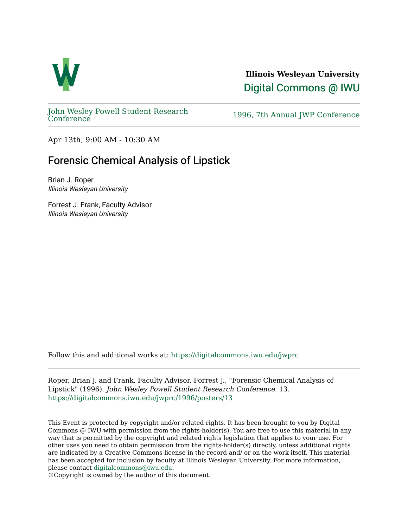

**Illinois Wesleyan University**  [Digital Commons @ IWU](https://digitalcommons.iwu.edu/) 

[John Wesley Powell Student Research](https://digitalcommons.iwu.edu/jwprc) 

1996, 7th Annual JWP [Conference](https://digitalcommons.iwu.edu/jwprc)

Apr 13th, 9:00 AM - 10:30 AM

## Forensic Chemical Analysis of Lipstick

Brian J. Roper Illinois Wesleyan University

Forrest J. Frank, Faculty Advisor Illinois Wesleyan University

Follow this and additional works at: [https://digitalcommons.iwu.edu/jwprc](https://digitalcommons.iwu.edu/jwprc?utm_source=digitalcommons.iwu.edu%2Fjwprc%2F1996%2Fposters%2F13&utm_medium=PDF&utm_campaign=PDFCoverPages) 

Roper, Brian J. and Frank, Faculty Advisor, Forrest J., "Forensic Chemical Analysis of Lipstick" (1996). John Wesley Powell Student Research Conference. 13. [https://digitalcommons.iwu.edu/jwprc/1996/posters/13](https://digitalcommons.iwu.edu/jwprc/1996/posters/13?utm_source=digitalcommons.iwu.edu%2Fjwprc%2F1996%2Fposters%2F13&utm_medium=PDF&utm_campaign=PDFCoverPages)

This Event is protected by copyright and/or related rights. It has been brought to you by Digital Commons @ IWU with permission from the rights-holder(s). You are free to use this material in any way that is permitted by the copyright and related rights legislation that applies to your use. For other uses you need to obtain permission from the rights-holder(s) directly, unless additional rights are indicated by a Creative Commons license in the record and/ or on the work itself. This material has been accepted for inclusion by faculty at Illinois Wesleyan University. For more information, please contact [digitalcommons@iwu.edu.](mailto:digitalcommons@iwu.edu)

©Copyright is owned by the author of this document.